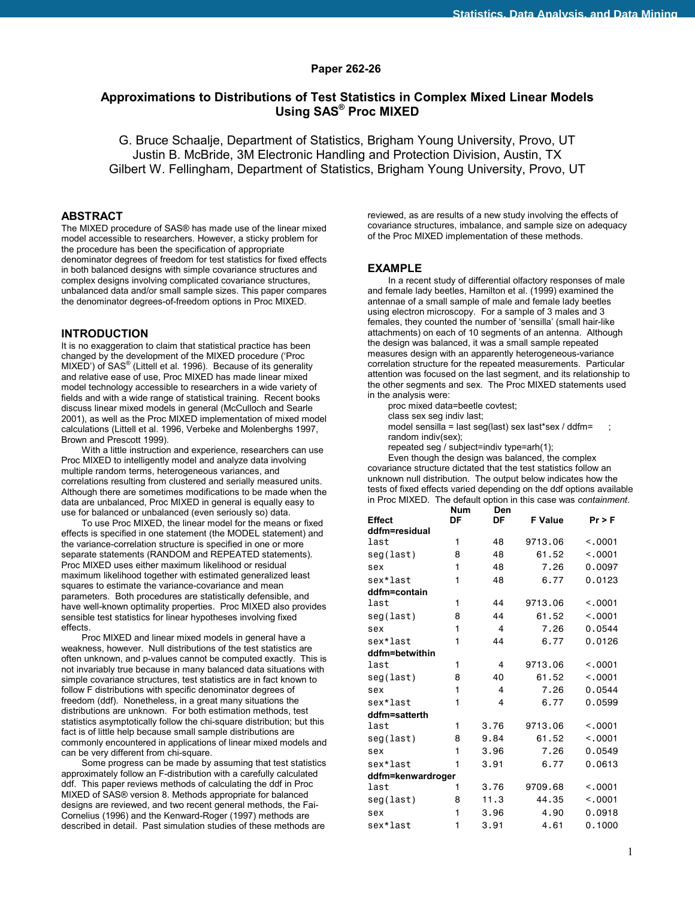### **Paper 262-26**

# **Approximations to Distributions of Test Statistics in Complex Mixed Linear Models Using SAS® Proc MIXED**

G. Bruce Schaalje, Department of Statistics, Brigham Young University, Provo, UT Justin B. McBride, 3M Electronic Handling and Protection Division, Austin, TX Gilbert W. Fellingham, Department of Statistics, Brigham Young University, Provo, UT

### **ABSTRACT**

The MIXED procedure of SAS® has made use of the linear mixed model accessible to researchers. However, a sticky problem for the procedure has been the specification of appropriate denominator degrees of freedom for test statistics for fixed effects in both balanced designs with simple covariance structures and complex designs involving complicated covariance structures, unbalanced data and/or small sample sizes. This paper compares the denominator degrees-of-freedom options in Proc MIXED.

### **INTRODUCTION**

It is no exaggeration to claim that statistical practice has been changed by the development of the MIXED procedure ('Proc MIXED') of SAS<sup>®</sup> (Littell et al. 1996). Because of its generality and relative ease of use, Proc MIXED has made linear mixed model technology accessible to researchers in a wide variety of fields and with a wide range of statistical training. Recent books discuss linear mixed models in general (McCulloch and Searle 2001), as well as the Proc MIXED implementation of mixed model calculations (Littell et al. 1996, Verbeke and Molenberghs 1997, Brown and Prescott 1999).

 With a little instruction and experience, researchers can use Proc MIXED to intelligently model and analyze data involving multiple random terms, heterogeneous variances, and correlations resulting from clustered and serially measured units. Although there are sometimes modifications to be made when the data are unbalanced, Proc MIXED in general is equally easy to use for balanced or unbalanced (even seriously so) data.

 To use Proc MIXED, the linear model for the means or fixed effects is specified in one statement (the MODEL statement) and the variance-correlation structure is specified in one or more separate statements (RANDOM and REPEATED statements). Proc MIXED uses either maximum likelihood or residual maximum likelihood together with estimated generalized least squares to estimate the variance-covariance and mean parameters. Both procedures are statistically defensible, and have well-known optimality properties. Proc MIXED also provides sensible test statistics for linear hypotheses involving fixed effects.

 Proc MIXED and linear mixed models in general have a weakness, however. Null distributions of the test statistics are often unknown, and p-values cannot be computed exactly. This is not invariably true because in many balanced data situations with simple covariance structures, test statistics are in fact known to follow F distributions with specific denominator degrees of freedom (ddf). Nonetheless, in a great many situations the distributions are unknown. For both estimation methods, test statistics asymptotically follow the chi-square distribution; but this fact is of little help because small sample distributions are commonly encountered in applications of linear mixed models and can be very different from chi-square.

 Some progress can be made by assuming that test statistics approximately follow an F-distribution with a carefully calculated ddf. This paper reviews methods of calculating the ddf in Proc MIXED of SAS® version 8. Methods appropriate for balanced designs are reviewed, and two recent general methods, the Fai-Cornelius (1996) and the Kenward-Roger (1997) methods are described in detail. Past simulation studies of these methods are

reviewed, as are results of a new study involving the effects of covariance structures, imbalance, and sample size on adequacy of the Proc MIXED implementation of these methods.

### **EXAMPLE**

 In a recent study of differential olfactory responses of male and female lady beetles, Hamilton et al. (1999) examined the antennae of a small sample of male and female lady beetles using electron microscopy. For a sample of 3 males and 3 females, they counted the number of 'sensilla' (small hair-like attachments) on each of 10 segments of an antenna. Although the design was balanced, it was a small sample repeated measures design with an apparently heterogeneous-variance correlation structure for the repeated measurements. Particular attention was focused on the last segment, and its relationship to the other segments and sex. The Proc MIXED statements used in the analysis were:

proc mixed data=beetle covtest; class sex seg indiv last;

model sensilla = last seg(last) sex last\*sex / ddfm= $\qquad$ ; random indiv(sex);

repeated seg / subject=indiv type=arh(1);

 Even though the design was balanced, the complex covariance structure dictated that the test statistics follow an unknown null distribution. The output below indicates how the tests of fixed effects varied depending on the ddf options available in Proc MIXED. The default option in this case was *containment*.

|                   | <b>Num</b> | Den  |                |          |  |
|-------------------|------------|------|----------------|----------|--|
| <b>Effect</b>     | DF         | DF   | <b>F</b> Value | $Pr$ > F |  |
| ddfm=residual     |            |      |                |          |  |
| last              | 1          | 48   | 9713.06        | < 0.001  |  |
| seg(last)         | 8          | 48   | 61.52          | < 0.001  |  |
| sex               | 1          | 48   | 7.26           | 0.0097   |  |
| sex*last          | 1          | 48   | 6.77           | 0.0123   |  |
| ddfm=contain      |            |      |                |          |  |
| last              | 1          | 44   | 9713.06        | < 0.001  |  |
| seg(last)         | 8          | 44   | 61.52          | < 0.001  |  |
| sex               | 1          | 4    | 7.26           | 0.0544   |  |
| sex*last          | 1          | 44   | 6.77           | 0.0126   |  |
| ddfm=betwithin    |            |      |                |          |  |
| last              | 1          | 4    | 9713.06        | < .0001  |  |
| seg(last)         | 8          | 40   | 61.52          | < 0.001  |  |
| sex               | 1          | 4    | 7.26           | 0.0544   |  |
| sex*last          | 1          | 4    | 6.77           | 0.0599   |  |
| ddfm=satterth     |            |      |                |          |  |
| last              | 1          | 3.76 | 9713.06        | < 0.001  |  |
| seg(last)         | 8          | 9.84 | 61.52          | < 0.001  |  |
| sex               | 1          | 3.96 | 7.26           | 0.0549   |  |
| sex*last          | 1          | 3.91 | 6.77           | 0.0613   |  |
| ddfm=kenwardroger |            |      |                |          |  |
| last              | 1          | 3.76 | 9709.68        | < 0.001  |  |
| seg(last)         | 8          | 11.3 | 44.35          | < 0.001  |  |
| sex               | 1          | 3.96 | 4.90           | 0.0918   |  |
| sex*last          | 1          | 3.91 | 4.61           | 0.1000   |  |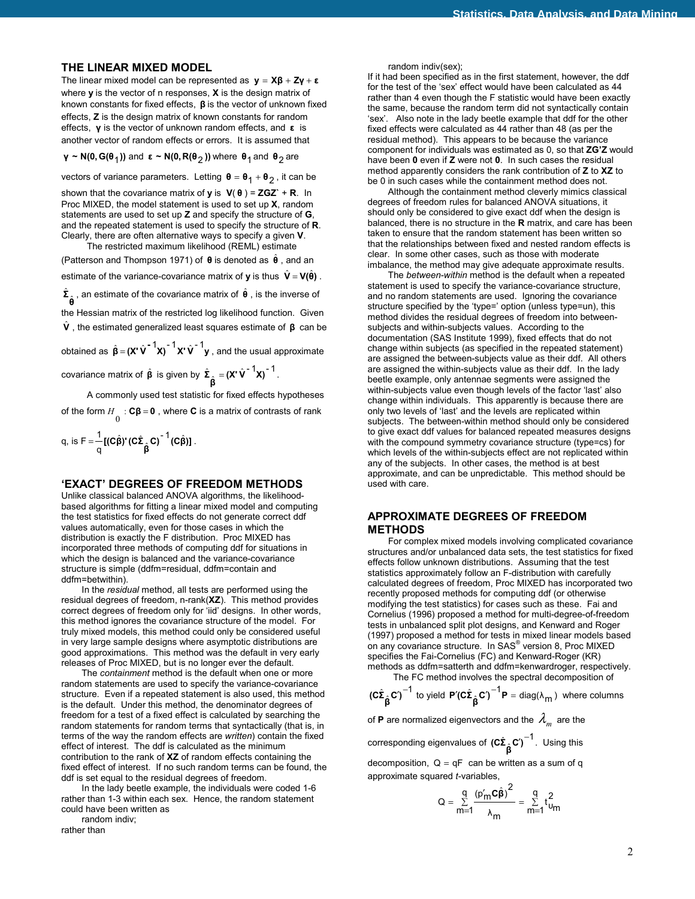## **THE LINEAR MIXED MODEL**

The linear mixed model can be represented as **y** = **Xβ** + **Zγ** + **ε** where **y** is the vector of n responses, **X** is the design matrix of known constants for fixed effects, **β** is the vector of unknown fixed effects, **Z** is the design matrix of known constants for random effects, **γ** is the vector of unknown random effects, and **ε** is another vector of random effects or errors. It is assumed that

**γ** ~ **N(0, G(** $\theta$ **<sub>1</sub>))** and **ε** ~ **N(0, R(** $\theta$ <sub>2</sub>)) where  $\theta$ <sub>1</sub> and  $\theta$ <sub>2</sub> are

vectors of variance parameters. Letting  $\theta = \theta_1 + \theta_2$ , it can be

shown that the covariance matrix of **y** is **V**( **θ** ) = **ZGZ`** + **R**. In Proc MIXED, the model statement is used to set up **X**, random statements are used to set up **Z** and specify the structure of **G**, and the repeated statement is used to specify the structure of **R**. Clearly, there are often alternative ways to specify a given **V**. The restricted maximum likelihood (REML) estimate

(Patterson and Thompson 1971) of **θ** is denoted as **θ** ˆ , and an estimate of the variance-covariance matrix of **y** is thus  $\hat{\mathbf{V}} = \mathbf{V}(\hat{\mathbf{\theta}})$ .  $\hat{\Sigma}_{\hat{\theta}}$  , an estimate of the covariance matrix of  $\hat{\theta}$  , is the inverse of the Hessian matrix of the restricted log likelihood function. Given

**V**ˆ , the estimated generalized least squares estimate of **β** can be

 $\hat{\mathbf{g}} = (\mathbf{X}' \hat{\mathbf{V}}^{-1} \mathbf{X})^{-1} \mathbf{X}' \hat{\mathbf{V}}^{-1} \mathbf{y}$ , and the usual approximate

covariance matrix of  $\hat{\beta}$  is given by  $\hat{\Sigma}_{\hat{\beta}} = (X' \hat{V}^{-1} X)^{-1}$ .

A commonly used test statistic for fixed effects hypotheses of the form  $H_{0}$  : **Cβ** = **0** , where **C** is a matrix of contrasts of rank

q, is 
$$
F = \frac{1}{q} [ (c\hat{\beta})^{\prime} (c\hat{\Sigma}_{\hat{\beta}} c)^{-1} (c\hat{\beta}) ].
$$

## **'EXACT' DEGREES OF FREEDOM METHODS**

Unlike classical balanced ANOVA algorithms, the likelihoodbased algorithms for fitting a linear mixed model and computing the test statistics for fixed effects do not generate correct ddf values automatically, even for those cases in which the distribution is exactly the F distribution. Proc MIXED has incorporated three methods of computing ddf for situations in which the design is balanced and the variance-covariance structure is simple (ddfm=residual, ddfm=contain and ddfm=betwithin).

 In the *residual* method, all tests are performed using the residual degrees of freedom, n-rank(**XZ**). This method provides correct degrees of freedom only for 'iid' designs. In other words, this method ignores the covariance structure of the model. For truly mixed models, this method could only be considered useful in very large sample designs where asymptotic distributions are good approximations. This method was the default in very early releases of Proc MIXED, but is no longer ever the default.

 The *containment* method is the default when one or more random statements are used to specify the variance-covariance structure. Even if a repeated statement is also used, this method is the default. Under this method, the denominator degrees of freedom for a test of a fixed effect is calculated by searching the random statements for random terms that syntactically (that is, in terms of the way the random effects are *written*) contain the fixed effect of interest. The ddf is calculated as the minimum contribution to the rank of **XZ** of random effects containing the fixed effect of interest. If no such random terms can be found, the ddf is set equal to the residual degrees of freedom.

 In the lady beetle example, the individuals were coded 1-6 rather than 1-3 within each sex. Hence, the random statement could have been written as

random indiv;

rather than

random indiv(sex);

If it had been specified as in the first statement, however, the ddf for the test of the 'sex' effect would have been calculated as 44 rather than 4 even though the F statistic would have been exactly the same, because the random term did not syntactically contain 'sex'. Also note in the lady beetle example that ddf for the other fixed effects were calculated as 44 rather than 48 (as per the residual method). This appears to be because the variance component for individuals was estimated as 0, so that **ZG'Z** would have been **0** even if **Z** were not **0**. In such cases the residual method apparently considers the rank contribution of **Z** to **XZ** to be 0 in such cases while the containment method does not.

 Although the containment method cleverly mimics classical degrees of freedom rules for balanced ANOVA situations, it should only be considered to give exact ddf when the design is balanced, there is no structure in the **R** matrix, and care has been taken to ensure that the random statement has been written so that the relationships between fixed and nested random effects is clear. In some other cases, such as those with moderate imbalance, the method may give adequate approximate results.

 The *between-within* method is the default when a repeated statement is used to specify the variance-covariance structure, and no random statements are used. Ignoring the covariance structure specified by the 'type=' option (unless type=un), this method divides the residual degrees of freedom into betweensubjects and within-subjects values. According to the documentation (SAS Institute 1999), fixed effects that do not change within subjects (as specified in the repeated statement) are assigned the between-subjects value as their ddf. All others are assigned the within-subjects value as their ddf. In the lady beetle example, only antennae segments were assigned the within-subjects value even though levels of the factor 'last' also change within individuals. This apparently is because there are only two levels of 'last' and the levels are replicated within subjects. The between-within method should only be considered to give exact ddf values for balanced repeated measures designs with the compound symmetry covariance structure (type=cs) for which levels of the within-subjects effect are not replicated within any of the subjects. In other cases, the method is at best approximate, and can be unpredictable. This method should be used with care.

## **APPROXIMATE DEGREES OF FREEDOM METHODS**

 For complex mixed models involving complicated covariance structures and/or unbalanced data sets, the test statistics for fixed effects follow unknown distributions. Assuming that the test statistics approximately follow an F-distribution with carefully calculated degrees of freedom, Proc MIXED has incorporated two recently proposed methods for computing ddf (or otherwise modifying the test statistics) for cases such as these. Fai and Cornelius (1996) proposed a method for multi-degree-of-freedom tests in unbalanced split plot designs, and Kenward and Roger (1997) proposed a method for tests in mixed linear models based on any covariance structure. In SAS® version 8, Proc MIXED specifies the Fai-Cornelius (FC) and Kenward-Roger (KR) methods as ddfm=satterth and ddfm=kenwardroger, respectively. The FC method involves the spectral decomposition of

$$
(c\hat{\Sigma}_{\hat{\beta}}c')^{-1} \text{ to yield } \mathbf{P}'(c\hat{\Sigma}_{\hat{\beta}}c')^{-1}\mathbf{P} = \text{diag}(\lambda_m) \text{ where columns}
$$

of **P** are normalized eigenvectors and the  $\lambda_m$  are the

**corresponding eigenvalues of**  $(c\hat{\Sigma}_{\hat{\beta}}c')^{-1}$ **. Using this** 

decomposition,  $Q = qF$  can be written as a sum of q approximate squared *t*-variables,

$$
Q = \sum_{m=1}^{q} \frac{\left(p'_m \mathbf{C} \hat{\boldsymbol{\beta}}\right)^2}{\lambda_m} = \sum_{m=1}^{q} t_{U_m}^2
$$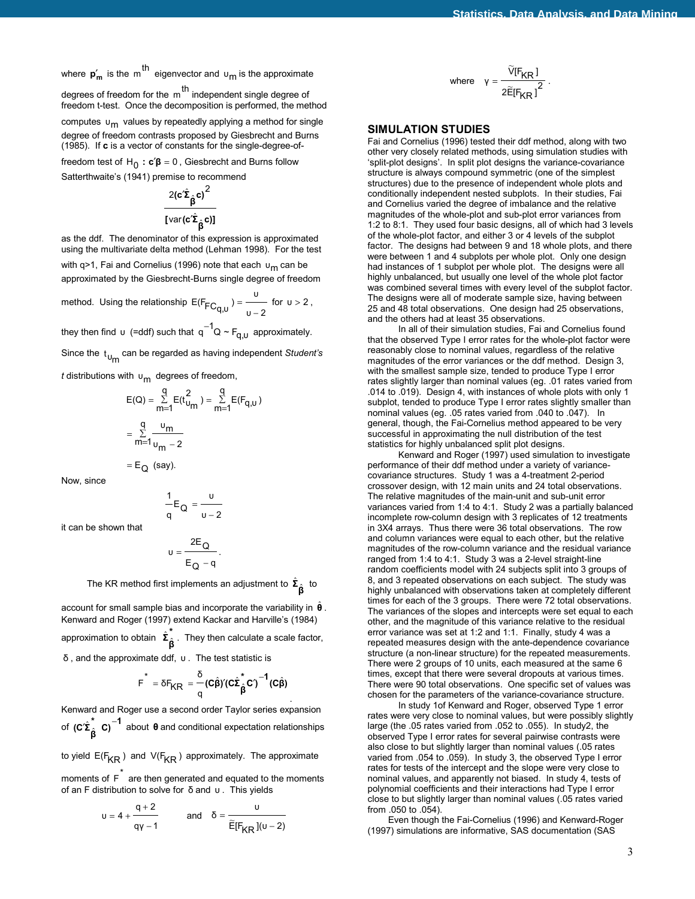where  $p'_m$  is the m<sup>th</sup> eigenvector and  $u_m$  is the approximate

degrees of freedom for the  $m<sup>th</sup>$  independent single degree of freedom t-test. Once the decomposition is performed, the method

computes  $\mathsf{u}_{\mathsf{m}}$  values by repeatedly applying a method for single degree of freedom contrasts proposed by Giesbrecht and Burns (1985). If **c** is a vector of constants for the single-degree-of-

freedom test of  $H_0$ :  $c'\beta = 0$ , Giesbrecht and Burns follow Satterthwaite's (1941) premise to recommend

$$
\frac{2(c'\hat{\Sigma}_{\hat{\beta}}c)^2}{[\textrm{var}(c'\hat{\Sigma}_{\hat{\beta}}c)]}
$$

as the ddf. The denominator of this expression is approximated using the multivariate delta method (Lehman 1998). For the test

with q>1, Fai and Cornelius (1996) note that each υ<sub>m</sub> can be approximated by the Giesbrecht-Burns single degree of freedom

method. Using the relationship  $E(F_{FC_{q,U}}) = \frac{U}{U - 2}$  $=$  for  $v > 2$ ,

they then find υ (=ddf) such that  $q^{-1}Q \sim F_{q,\upsilon}$  approximately.

Since the t<sub>um</sub> can be regarded as having independent *Student's* 

*t* distributions with υ<sub>m</sub> degrees of freedom,

 $\mathsf{E}_{\mathsf{Q}}$  (say).

$$
E(Q) = \sum_{m=1}^{q} E(t_{U_{m}}^{2}) = \sum_{m=1}^{q} E(F_{q,U})
$$

$$
= \sum_{m=1}^{q} \frac{v_{m}}{v_{m}-2}
$$

Now, since

$$
\frac{1}{q}E_Q=\frac{u}{u-2}
$$

it can be shown that

$$
u=\frac{2E_Q}{E_Q-q}\,.
$$

The KR method first implements an adjustment to  $\hat{\Sigma}_{\hat{\beta}}$  to

account for small sample bias and incorporate the variability in  $\hat{\theta}$ . Kenward and Roger (1997) extend Kackar and Harville's (1984) approximation to obtain  $\hat{\Sigma}_{\hat{\beta}}^*$ . They then calculate a scale factor, δ , and the approximate ddf, υ . The test statistic is

$$
F^* = \delta F_{KR} = \frac{\delta}{q} (c \hat{\beta})' (c \hat{\Sigma}_{\hat{\beta}}^* c')^{-1} (c \hat{\beta})
$$

. Kenward and Roger use a second order Taylor series expansion **of (c´** $\hat{\Sigma}^*_{\hat{\beta}}$  **<b>C**)<sup>-1</sup> about **θ** and conditional expectation relationships

to yield  $E(F_{KR})$  and  $V(F_{KR})$  approximately. The approximate

moments of  $\tilde{F}$  are then generated and equated to the moments of an F distribution to solve for δ and υ . This yields

$$
u = 4 + \frac{q+2}{q\gamma - 1} \quad \text{and} \quad \delta = \frac{u}{\widetilde{E}[F_{KR}](u-2)}
$$

where 
$$
\gamma = \frac{\widetilde{V}[F_{KR}]}{2\widetilde{E}[F_{KR}]^2}
$$
.

### **SIMULATION STUDIES**

Fai and Cornelius (1996) tested their ddf method, along with two other very closely related methods, using simulation studies with 'split-plot designs'. In split plot designs the variance-covariance structure is always compound symmetric (one of the simplest structures) due to the presence of independent whole plots and conditionally independent nested subplots. In their studies, Fai and Cornelius varied the degree of imbalance and the relative magnitudes of the whole-plot and sub-plot error variances from 1:2 to 8:1. They used four basic designs, all of which had 3 levels of the whole-plot factor, and either 3 or 4 levels of the subplot factor. The designs had between 9 and 18 whole plots, and there were between 1 and 4 subplots per whole plot. Only one design had instances of 1 subplot per whole plot. The designs were all highly unbalanced, but usually one level of the whole plot factor was combined several times with every level of the subplot factor. The designs were all of moderate sample size, having between 25 and 48 total observations. One design had 25 observations, and the others had at least 35 observations.

 In all of their simulation studies, Fai and Cornelius found that the observed Type I error rates for the whole-plot factor were reasonably close to nominal values, regardless of the relative magnitudes of the error variances or the ddf method. Design 3, with the smallest sample size, tended to produce Type I error rates slightly larger than nominal values (eg. .01 rates varied from .014 to .019). Design 4, with instances of whole plots with only 1 subplot, tended to produce Type I error rates slightly smaller than nominal values (eg. .05 rates varied from .040 to .047). In general, though, the Fai-Cornelius method appeared to be very successful in approximating the null distribution of the test statistics for highly unbalanced split plot designs.

 Kenward and Roger (1997) used simulation to investigate performance of their ddf method under a variety of variancecovariance structures. Study 1 was a 4-treatment 2-period crossover design, with 12 main units and 24 total observations. The relative magnitudes of the main-unit and sub-unit error variances varied from 1:4 to 4:1. Study 2 was a partially balanced incomplete row-column design with 3 replicates of 12 treatments in 3X4 arrays. Thus there were 36 total observations. The row and column variances were equal to each other, but the relative magnitudes of the row-column variance and the residual variance ranged from 1:4 to 4:1. Study 3 was a 2-level straight-line random coefficients model with 24 subjects split into 3 groups of 8, and 3 repeated observations on each subject. The study was highly unbalanced with observations taken at completely different times for each of the 3 groups. There were 72 total observations. The variances of the slopes and intercepts were set equal to each other, and the magnitude of this variance relative to the residual error variance was set at 1:2 and 1:1. Finally, study 4 was a repeated measures design with the ante-dependence covariance structure (a non-linear structure) for the repeated measurements. There were 2 groups of 10 units, each measured at the same 6 times, except that there were several dropouts at various times. There were 90 total observations. One specific set of values was chosen for the parameters of the variance-covariance structure.

 In study 1of Kenward and Roger, observed Type 1 error rates were very close to nominal values, but were possibly slightly large (the .05 rates varied from .052 to .055). In study2, the observed Type I error rates for several pairwise contrasts were also close to but slightly larger than nominal values (.05 rates varied from .054 to .059). In study 3, the observed Type I error rates for tests of the intercept and the slope were very close to nominal values, and apparently not biased. In study 4, tests of polynomial coefficients and their interactions had Type I error close to but slightly larger than nominal values (.05 rates varied from .050 to .054).

 Even though the Fai-Cornelius (1996) and Kenward-Roger (1997) simulations are informative, SAS documentation (SAS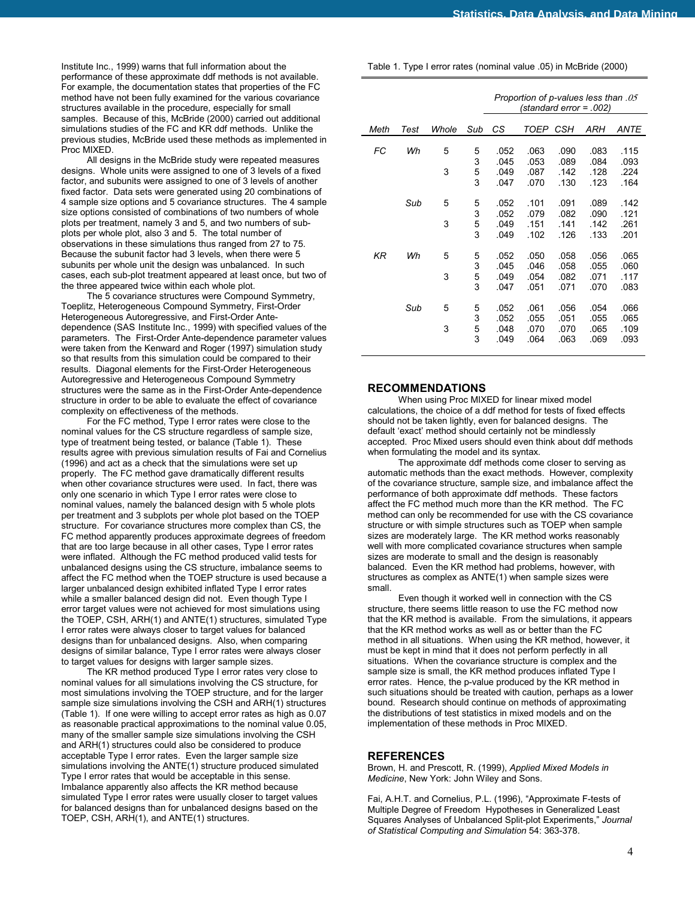Institute Inc., 1999) warns that full information about the performance of these approximate ddf methods is not available. For example, the documentation states that properties of the FC method have not been fully examined for the various covariance structures available in the procedure, especially for small samples. Because of this, McBride (2000) carried out additional simulations studies of the FC and KR ddf methods. Unlike the previous studies, McBride used these methods as implemented in Proc MIXED.

 All designs in the McBride study were repeated measures designs. Whole units were assigned to one of 3 levels of a fixed factor, and subunits were assigned to one of 3 levels of another fixed factor. Data sets were generated using 20 combinations of 4 sample size options and 5 covariance structures. The 4 sample size options consisted of combinations of two numbers of whole plots per treatment, namely 3 and 5, and two numbers of subplots per whole plot, also 3 and 5. The total number of observations in these simulations thus ranged from 27 to 75. Because the subunit factor had 3 levels, when there were 5 subunits per whole unit the design was unbalanced. In such cases, each sub-plot treatment appeared at least once, but two of the three appeared twice within each whole plot.

 The 5 covariance structures were Compound Symmetry, Toeplitz, Heterogeneous Compound Symmetry, First-Order Heterogeneous Autoregressive, and First-Order Antedependence (SAS Institute Inc., 1999) with specified values of the parameters. The First-Order Ante-dependence parameter values were taken from the Kenward and Roger (1997) simulation study so that results from this simulation could be compared to their results. Diagonal elements for the First-Order Heterogeneous Autoregressive and Heterogeneous Compound Symmetry structures were the same as in the First-Order Ante-dependence structure in order to be able to evaluate the effect of covariance complexity on effectiveness of the methods.

 For the FC method, Type I error rates were close to the nominal values for the CS structure regardless of sample size, type of treatment being tested, or balance (Table 1). These results agree with previous simulation results of Fai and Cornelius (1996) and act as a check that the simulations were set up properly. The FC method gave dramatically different results when other covariance structures were used. In fact, there was only one scenario in which Type I error rates were close to nominal values, namely the balanced design with 5 whole plots per treatment and 3 subplots per whole plot based on the TOEP structure. For covariance structures more complex than CS, the FC method apparently produces approximate degrees of freedom that are too large because in all other cases, Type I error rates were inflated. Although the FC method produced valid tests for unbalanced designs using the CS structure, imbalance seems to affect the FC method when the TOEP structure is used because a larger unbalanced design exhibited inflated Type I error rates while a smaller balanced design did not. Even though Type I error target values were not achieved for most simulations using the TOEP, CSH, ARH(1) and ANTE(1) structures, simulated Type I error rates were always closer to target values for balanced designs than for unbalanced designs. Also, when comparing designs of similar balance, Type I error rates were always closer to target values for designs with larger sample sizes.

 The KR method produced Type I error rates very close to nominal values for all simulations involving the CS structure, for most simulations involving the TOEP structure, and for the larger sample size simulations involving the CSH and ARH(1) structures (Table 1). If one were willing to accept error rates as high as 0.07 as reasonable practical approximations to the nominal value 0.05, many of the smaller sample size simulations involving the CSH and ARH(1) structures could also be considered to produce acceptable Type I error rates. Even the larger sample size simulations involving the ANTE(1) structure produced simulated Type I error rates that would be acceptable in this sense. Imbalance apparently also affects the KR method because simulated Type I error rates were usually closer to target values for balanced designs than for unbalanced designs based on the TOEP, CSH, ARH(1), and ANTE(1) structures.

Table 1. Type I error rates (nominal value .05) in McBride (2000)

|           |      |        |                  | Proportion of p-values less than .05<br>(standard error = .002) |                              |                              |                              |                              |  |
|-----------|------|--------|------------------|-----------------------------------------------------------------|------------------------------|------------------------------|------------------------------|------------------------------|--|
| Meth      | Test | Whole  | Sub              | СS                                                              | TOEP                         | <b>CSH</b>                   | ARH                          | <i>ANTE</i>                  |  |
| FC        | Wh   | 5<br>3 | 5<br>3<br>5<br>3 | .052<br>.045<br>.049<br>.047                                    | .063<br>.053<br>.087<br>.070 | .090<br>.089<br>.142<br>.130 | .083<br>.084<br>.128<br>.123 | .115<br>.093<br>.224<br>.164 |  |
|           | Sub  | 5<br>3 | 5<br>3<br>5<br>3 | .052<br>.052<br>.049<br>.049                                    | .101<br>.079<br>.151<br>.102 | .091<br>.082<br>.141<br>.126 | .089<br>.090<br>.142<br>.133 | .142<br>.121<br>.261<br>.201 |  |
| <b>KR</b> | Wh   | 5<br>3 | 5<br>3<br>5<br>3 | .052<br>.045<br>.049<br>.047                                    | .050<br>.046<br>.054<br>.051 | .058<br>.058<br>.082<br>.071 | .056<br>.055<br>.071<br>.070 | .065<br>.060<br>.117<br>.083 |  |
|           | Sub  | 5<br>3 | 5<br>3<br>5<br>3 | .052<br>.052<br>.048<br>.049                                    | .061<br>.055<br>.070<br>.064 | .056<br>.051<br>.070<br>.063 | .054<br>.055<br>.065<br>.069 | .066<br>.065<br>.109<br>.093 |  |

#### **RECOMMENDATIONS**

 When using Proc MIXED for linear mixed model calculations, the choice of a ddf method for tests of fixed effects should not be taken lightly, even for balanced designs. The default 'exact' method should certainly not be mindlessly accepted. Proc Mixed users should even think about ddf methods when formulating the model and its syntax.

 The approximate ddf methods come closer to serving as automatic methods than the exact methods. However, complexity of the covariance structure, sample size, and imbalance affect the performance of both approximate ddf methods. These factors affect the FC method much more than the KR method. The FC method can only be recommended for use with the CS covariance structure or with simple structures such as TOEP when sample sizes are moderately large. The KR method works reasonably well with more complicated covariance structures when sample sizes are moderate to small and the design is reasonably balanced. Even the KR method had problems, however, with structures as complex as ANTE(1) when sample sizes were small.

 Even though it worked well in connection with the CS structure, there seems little reason to use the FC method now that the KR method is available. From the simulations, it appears that the KR method works as well as or better than the FC method in all situations. When using the KR method, however, it must be kept in mind that it does not perform perfectly in all situations. When the covariance structure is complex and the sample size is small, the KR method produces inflated Type I error rates. Hence, the p-value produced by the KR method in such situations should be treated with caution, perhaps as a lower bound. Research should continue on methods of approximating the distributions of test statistics in mixed models and on the implementation of these methods in Proc MIXED.

### **REFERENCES**

Brown, H. and Prescott, R. (1999), *Applied Mixed Models in Medicine*, New York: John Wiley and Sons.

Fai, A.H.T. and Cornelius, P.L. (1996), "Approximate F-tests of Multiple Degree of Freedom Hypotheses in Generalized Least Squares Analyses of Unbalanced Split-plot Experiments," *Journal of Statistical Computing and Simulation* 54: 363-378.